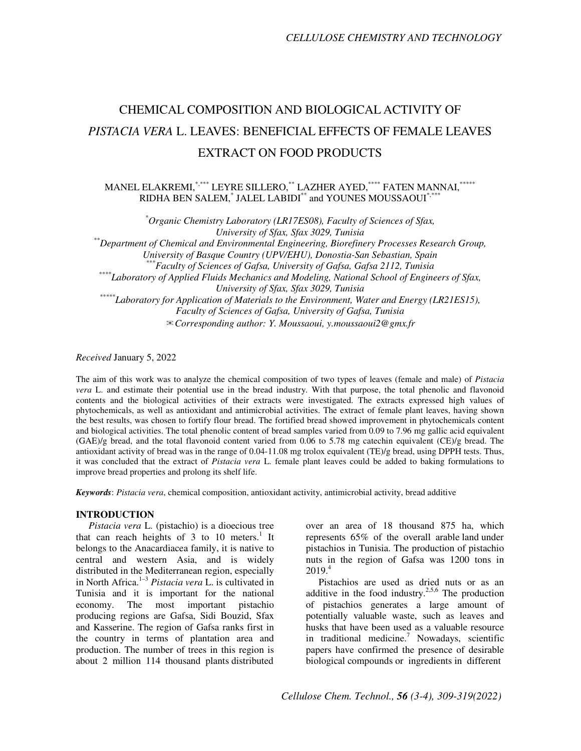# CHEMICAL COMPOSITION AND BIOLOGICAL ACTIVITY OF *PISTACIA VERA* L. LEAVES: BENEFICIAL EFFECTS OF FEMALE LEAVES EXTRACT ON FOOD PRODUCTS

MANEL ELAKREMI,\*,\*\*\* LEYRE SILLERO,\*\* LAZHER AYED,\*\*\*\* FATEN MANNAI,\*\*\*\*\* RIDHA BEN SALEM,<sup>\*</sup> JALEL LABIDI<sup>\*\*</sup> and YOUNES MOUSSAOUI<sup>\*,\*\*\*</sup>

*\*Organic Chemistry Laboratory (LR17ES08), Faculty of Sciences of Sfax, University of Sfax, Sfax 3029, Tunisia \*\*Department of Chemical and Environmental Engineering, Biorefinery Processes Research Group, University of Basque Country (UPV/EHU), Donostia-San Sebastian, Spain \*\*\*Faculty of Sciences of Gafsa, University of Gafsa, Gafsa 2112, Tunisia \*\*\*\*Laboratory of Applied Fluids Mechanics and Modeling, National School of Engineers of Sfax, University of Sfax, Sfax 3029, Tunisia \*\*\*\*\*Laboratory for Application of Materials to the Environment, Water and Energy (LR21ES15), Faculty of Sciences of Gafsa, University of Gafsa, Tunisia*  ✉*Corresponding author: Y. Moussaoui, y.moussaoui2@gmx.fr* 

*Received* January 5, 2022

The aim of this work was to analyze the chemical composition of two types of leaves (female and male) of *Pistacia vera* L. and estimate their potential use in the bread industry. With that purpose, the total phenolic and flavonoid contents and the biological activities of their extracts were investigated. The extracts expressed high values of phytochemicals, as well as antioxidant and antimicrobial activities. The extract of female plant leaves, having shown the best results, was chosen to fortify flour bread. The fortified bread showed improvement in phytochemicals content and biological activities. The total phenolic content of bread samples varied from 0.09 to 7.96 mg gallic acid equivalent (GAE)/g bread, and the total flavonoid content varied from 0.06 to 5.78 mg catechin equivalent (CE)/g bread. The antioxidant activity of bread was in the range of 0.04-11.08 mg trolox equivalent (TE)/g bread, using DPPH tests. Thus, it was concluded that the extract of *Pistacia vera* L. female plant leaves could be added to baking formulations to improve bread properties and prolong its shelf life.

*Keywords*: *Pistacia vera*, chemical composition, antioxidant activity, antimicrobial activity, bread additive

#### **INTRODUCTION**

*Pistacia vera* L. (pistachio) is a dioecious tree that can reach heights of  $3$  to  $10$  meters.<sup>1</sup> It belongs to the Anacardiacea family, it is native to central and western Asia, and is widely distributed in the Mediterranean region, especially in North Africa.1–3 *Pistacia vera* L. is cultivated in Tunisia and it is important for the national economy. The most important pistachio producing regions are Gafsa, Sidi Bouzid, Sfax and Kasserine. The region of Gafsa ranks first in the country in terms of plantation area and production. The number of trees in this region is about 2 million 114 thousand plants distributed

over an area of 18 thousand 875 ha, which represents 65% of the overall arable land under pistachios in Tunisia. The production of pistachio nuts in the region of Gafsa was 1200 tons in  $2019<sup>4</sup>$ 

Pistachios are used as dried nuts or as an additive in the food industry.<sup>2,5,6</sup> The production of pistachios generates a large amount of potentially valuable waste, such as leaves and husks that have been used as a valuable resource in traditional medicine.<sup>7</sup> Nowadays, scientific papers have confirmed the presence of desirable biological compounds or ingredients in different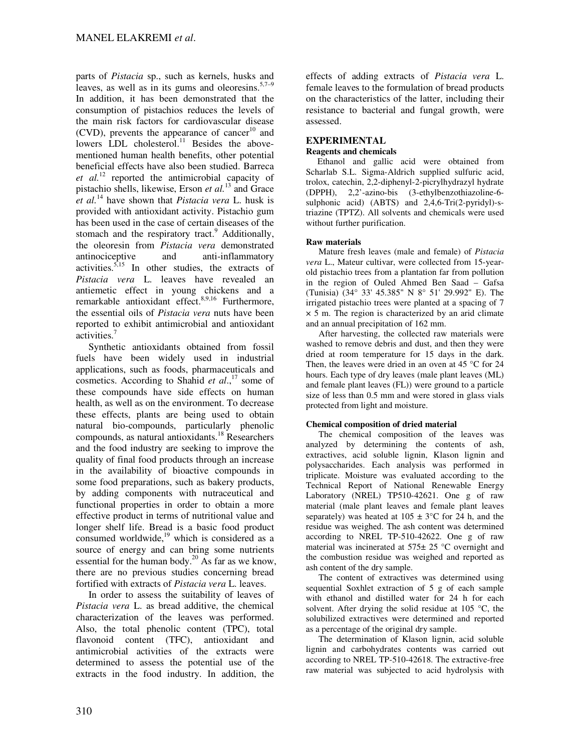parts of *Pistacia* sp., such as kernels, husks and leaves, as well as in its gums and oleoresins. $5,7-9$ In addition, it has been demonstrated that the consumption of pistachios reduces the levels of the main risk factors for cardiovascular disease  $(CVD)$ , prevents the appearance of cancer<sup>10</sup> and lowers LDL cholesterol.<sup>11</sup> Besides the abovementioned human health benefits, other potential beneficial effects have also been studied. Barreca *et al.*<sup>12</sup> reported the antimicrobial capacity of pistachio shells, likewise, Erson *et al.*<sup>13</sup> and Grace *et al.*<sup>14</sup> have shown that *Pistacia vera* L. husk is provided with antioxidant activity. Pistachio gum has been used in the case of certain diseases of the stomach and the respiratory tract.<sup>9</sup> Additionally, the oleoresin from *Pistacia vera* demonstrated antinociceptive and anti-inflammatory activities.<sup>5,15</sup> In other studies, the extracts of *Pistacia vera* L. leaves have revealed an antiemetic effect in young chickens and a remarkable antioxidant effect.<sup>8,9,16</sup> Furthermore, the essential oils of *Pistacia vera* nuts have been reported to exhibit antimicrobial and antioxidant activities.<sup>7</sup>

Synthetic antioxidants obtained from fossil fuels have been widely used in industrial applications, such as foods, pharmaceuticals and cosmetics. According to Shahid *et al*., <sup>17</sup> some of these compounds have side effects on human health, as well as on the environment. To decrease these effects, plants are being used to obtain natural bio-compounds, particularly phenolic compounds, as natural antioxidants.<sup>18</sup> Researchers and the food industry are seeking to improve the quality of final food products through an increase in the availability of bioactive compounds in some food preparations, such as bakery products, by adding components with nutraceutical and functional properties in order to obtain a more effective product in terms of nutritional value and longer shelf life. Bread is a basic food product consumed worldwide, $19$  which is considered as a source of energy and can bring some nutrients essential for the human body.<sup>20</sup> As far as we know, there are no previous studies concerning bread fortified with extracts of *Pistacia vera* L. leaves.

In order to assess the suitability of leaves of *Pistacia vera* L. as bread additive, the chemical characterization of the leaves was performed. Also, the total phenolic content (TPC), total flavonoid content (TFC), antioxidant and antimicrobial activities of the extracts were determined to assess the potential use of the extracts in the food industry. In addition, the

effects of adding extracts of *Pistacia vera* L. female leaves to the formulation of bread products on the characteristics of the latter, including their resistance to bacterial and fungal growth, were assessed.

# **EXPERIMENTAL**

## **Reagents and chemicals**

Ethanol and gallic acid were obtained from Scharlab S.L. Sigma-Aldrich supplied sulfuric acid, trolox, catechin, 2,2-diphenyl-2-picrylhydrazyl hydrate (DPPH), 2,2'-azino-bis (3-ethylbenzothiazoline-6 sulphonic acid) (ABTS) and 2,4,6-Tri(2-pyridyl)-striazine (TPTZ). All solvents and chemicals were used without further purification.

## **Raw materials**

Mature fresh leaves (male and female) of *Pistacia vera* L., Mateur cultivar, were collected from 15-yearold pistachio trees from a plantation far from pollution in the region of Ouled Ahmed Ben Saad – Gafsa (Tunisia) (34° 33' 45.385" N 8° 51' 29.992" E). The irrigated pistachio trees were planted at a spacing of 7  $\times$  5 m. The region is characterized by an arid climate and an annual precipitation of 162 mm.

After harvesting, the collected raw materials were washed to remove debris and dust, and then they were dried at room temperature for 15 days in the dark. Then, the leaves were dried in an oven at  $45^{\circ}$ C for 24 hours. Each type of dry leaves (male plant leaves (ML) and female plant leaves (FL)) were ground to a particle size of less than 0.5 mm and were stored in glass vials protected from light and moisture.

#### **Chemical composition of dried material**

The chemical composition of the leaves was analyzed by determining the contents of ash, extractives, acid soluble lignin, Klason lignin and polysaccharides. Each analysis was performed in triplicate. Moisture was evaluated according to the Technical Report of National Renewable Energy Laboratory (NREL) TP510-42621. One g of raw material (male plant leaves and female plant leaves separately) was heated at  $105 \pm 3^{\circ}$ C for 24 h, and the residue was weighed. The ash content was determined according to NREL TP-510-42622. One g of raw material was incinerated at 575± 25 °C overnight and the combustion residue was weighed and reported as ash content of the dry sample.

The content of extractives was determined using sequential Soxhlet extraction of 5 g of each sample with ethanol and distilled water for 24 h for each solvent. After drying the solid residue at 105 °C, the solubilized extractives were determined and reported as a percentage of the original dry sample.

The determination of Klason lignin, acid soluble lignin and carbohydrates contents was carried out according to NREL TP-510-42618. The extractive-free raw material was subjected to acid hydrolysis with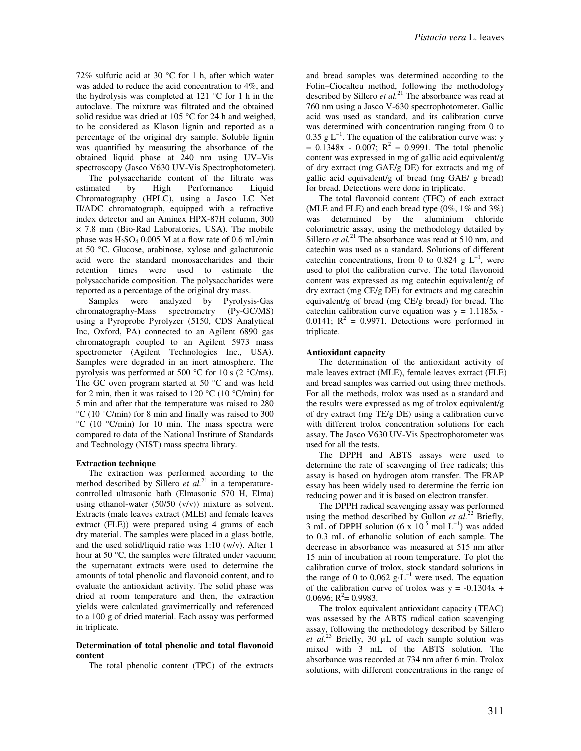72% sulfuric acid at 30 °C for 1 h, after which water was added to reduce the acid concentration to 4%, and the hydrolysis was completed at 121 °C for 1 h in the autoclave. The mixture was filtrated and the obtained solid residue was dried at 105 °C for 24 h and weighed, to be considered as Klason lignin and reported as a percentage of the original dry sample. Soluble lignin was quantified by measuring the absorbance of the obtained liquid phase at 240 nm using UV–Vis spectroscopy (Jasco V630 UV-Vis Spectrophotometer).

The polysaccharide content of the filtrate was estimated by High Performance Liquid Chromatography (HPLC), using a Jasco LC Net II/ADC chromatograph, equipped with a refractive index detector and an Aminex HPX-87H column, 300 × 7.8 mm (Bio-Rad Laboratories, USA). The mobile phase was  $H_2SO_4$  0.005 M at a flow rate of 0.6 mL/min at 50 °C. Glucose, arabinose, xylose and galacturonic acid were the standard monosaccharides and their retention times were used to estimate the polysaccharide composition. The polysaccharides were reported as a percentage of the original dry mass.

Samples were analyzed by Pyrolysis-Gas chromatography-Mass spectrometry (Py-GC/MS) using a Pyroprobe Pyrolyzer (5150, CDS Analytical Inc, Oxford, PA) connected to an Agilent 6890 gas chromatograph coupled to an Agilent 5973 mass spectrometer (Agilent Technologies Inc., USA). Samples were degraded in an inert atmosphere. The pyrolysis was performed at 500 °C for 10 s (2 °C/ms). The GC oven program started at 50 °C and was held for 2 min, then it was raised to 120  $\rm{°C}$  (10  $\rm{°C/min}$ ) for 5 min and after that the temperature was raised to 280 °C (10 °C/min) for 8 min and finally was raised to 300  $\rm{°C}$  (10  $\rm{°C/min}$ ) for 10 min. The mass spectra were compared to data of the National Institute of Standards and Technology (NIST) mass spectra library.

#### **Extraction technique**

The extraction was performed according to the method described by Sillero *et al.*<sup>21</sup> in a temperaturecontrolled ultrasonic bath (Elmasonic 570 H, Elma) using ethanol-water (50/50 (v/v)) mixture as solvent. Extracts (male leaves extract (MLE) and female leaves extract (FLE)) were prepared using 4 grams of each dry material. The samples were placed in a glass bottle, and the used solid/liquid ratio was 1:10 (w/v). After 1 hour at 50 °C, the samples were filtrated under vacuum; the supernatant extracts were used to determine the amounts of total phenolic and flavonoid content, and to evaluate the antioxidant activity. The solid phase was dried at room temperature and then, the extraction yields were calculated gravimetrically and referenced to a 100 g of dried material. Each assay was performed in triplicate.

#### **Determination of total phenolic and total flavonoid content**

The total phenolic content (TPC) of the extracts

and bread samples was determined according to the Folin–Ciocalteu method, following the methodology described by Sillero *et al.*<sup>21</sup> The absorbance was read at 760 nm using a Jasco V-630 spectrophotometer. Gallic acid was used as standard, and its calibration curve was determined with concentration ranging from 0 to 0.35 g  $L^{-1}$ . The equation of the calibration curve was: y  $= 0.1348x - 0.007$ ;  $R^2 = 0.9991$ . The total phenolic content was expressed in mg of gallic acid equivalent/g of dry extract (mg GAE/g DE) for extracts and mg of gallic acid equivalent/g of bread (mg GAE/ g bread) for bread. Detections were done in triplicate.

The total flavonoid content (TFC) of each extract (MLE and FLE) and each bread type (0%, 1% and 3%) was determined by the aluminium chloride colorimetric assay, using the methodology detailed by Sillero *et al.*<sup>21</sup> The absorbance was read at 510 nm, and catechin was used as a standard. Solutions of different catechin concentrations, from 0 to 0.824 g  $L^{-1}$ , were used to plot the calibration curve. The total flavonoid content was expressed as mg catechin equivalent/g of dry extract (mg CE/g DE) for extracts and mg catechin equivalent/g of bread (mg CE/g bread) for bread. The catechin calibration curve equation was  $y = 1.1185x$ . 0.0141;  $R^2 = 0.9971$ . Detections were performed in triplicate.

#### **Antioxidant capacity**

The determination of the antioxidant activity of male leaves extract (MLE), female leaves extract (FLE) and bread samples was carried out using three methods. For all the methods, trolox was used as a standard and the results were expressed as mg of trolox equivalent/g of dry extract (mg TE/g DE) using a calibration curve with different trolox concentration solutions for each assay. The Jasco V630 UV-Vis Spectrophotometer was used for all the tests.

The DPPH and ABTS assays were used to determine the rate of scavenging of free radicals; this assay is based on hydrogen atom transfer. The FRAP essay has been widely used to determine the ferric ion reducing power and it is based on electron transfer.

The DPPH radical scavenging assay was performed using the method described by Gullon  $et$   $al.^{22}$  Briefly, 3 mL of DPPH solution (6 x  $10^{-5}$  mol L<sup>-1</sup>) was added to 0.3 mL of ethanolic solution of each sample. The decrease in absorbance was measured at 515 nm after 15 min of incubation at room temperature. To plot the calibration curve of trolox, stock standard solutions in the range of 0 to 0.062 g⋅L<sup>-1</sup> were used. The equation of the calibration curve of trolox was  $y = -0.1304x +$  $0.0696$ ; R<sup>2</sup>= 0.9983.

The trolox equivalent antioxidant capacity (TEAC) was assessed by the ABTS radical cation scavenging assay, following the methodology described by Sillero *et al.*<sup>23</sup> Briefly, 30  $\mu$ L of each sample solution was mixed with 3 mL of the ABTS solution. The absorbance was recorded at 734 nm after 6 min. Trolox solutions, with different concentrations in the range of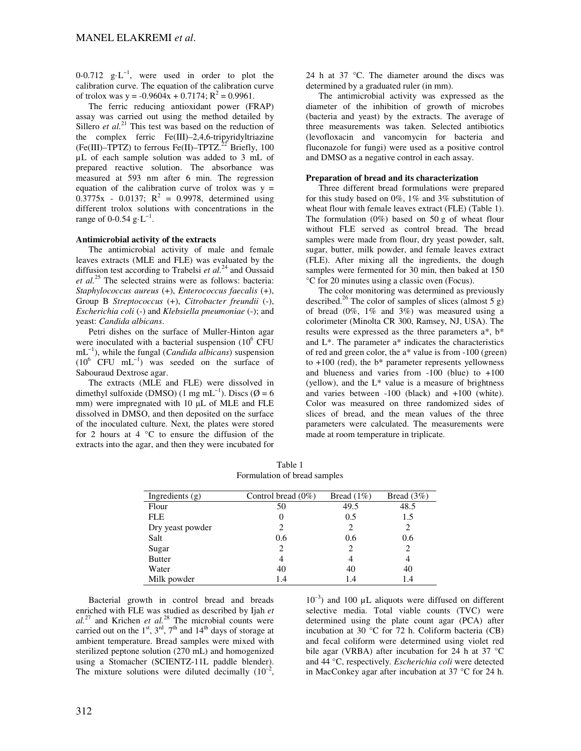0-0.712 g·L−1, were used in order to plot the calibration curve. The equation of the calibration curve of trolox was  $y = -0.9604x + 0.7174$ ;  $R^2 = 0.9961$ .

The ferric reducing antioxidant power (FRAP) assay was carried out using the method detailed by Sillero *et al.*<sup>21</sup> This test was based on the reduction of the complex ferric Fe(III)–2,4,6-tripyridyltriazine  $(Fe(III)$ –TPTZ) to ferrous  $Fe(II)$ –TPTZ.<sup>22</sup> Briefly, 100 µL of each sample solution was added to 3 mL of prepared reactive solution. The absorbance was measured at 593 nm after 6 min. The regression equation of the calibration curve of trolox was  $y =$  $0.\overline{3775x}$  - 0.0137;  $R^2 = 0.9978$ , determined using different trolox solutions with concentrations in the range of 0-0.54  $g \cdot L^{-1}$ .

#### **Antimicrobial activity of the extracts**

The antimicrobial activity of male and female leaves extracts (MLE and FLE) was evaluated by the diffusion test according to Trabelsi *et al.*<sup>24</sup> and Oussaid *et al.*<sup>25</sup> The selected strains were as follows: bacteria: *Staphylococcus aureus* (+), *Enterococcus faecalis* (+), Group B *Streptococcus* (+), *Citrobacter freundii* (-), *Escherichia coli* (-) and *Klebsiella pneumoniae* (-); and yeast: *Candida albicans*.

Petri dishes on the surface of Muller-Hinton agar were inoculated with a bacterial suspension  $(10^6 \text{ CFU})$ mL−1), while the fungal (*Candida albicans*) suspension  $(10^6 \text{ CFU } mL^{-1})$  was seeded on the surface of Sabouraud Dextrose agar.

The extracts (MLE and FLE) were dissolved in dimethyl sulfoxide (DMSO) (1 mg mL<sup>-1</sup>). Discs ( $\emptyset$  = 6 mm) were impregnated with 10  $\mu$ L of MLE and FLE dissolved in DMSO, and then deposited on the surface of the inoculated culture. Next, the plates were stored for 2 hours at  $4 \degree C$  to ensure the diffusion of the extracts into the agar, and then they were incubated for 24 h at 37  $\degree$ C. The diameter around the discs was determined by a graduated ruler (in mm).

The antimicrobial activity was expressed as the diameter of the inhibition of growth of microbes (bacteria and yeast) by the extracts. The average of three measurements was taken. Selected antibiotics (levofloxacin and vancomycin for bacteria and fluconazole for fungi) were used as a positive control and DMSO as a negative control in each assay.

#### **Preparation of bread and its characterization**

Three different bread formulations were prepared for this study based on 0%, 1% and 3% substitution of wheat flour with female leaves extract (FLE) (Table 1). The formulation  $(0\%)$  based on 50 g of wheat flour without FLE served as control bread. The bread samples were made from flour, dry yeast powder, salt, sugar, butter, milk powder, and female leaves extract (FLE). After mixing all the ingredients, the dough samples were fermented for 30 min, then baked at 150 °C for 20 minutes using a classic oven (Focus).

The color monitoring was determined as previously described.<sup>26</sup> The color of samples of slices (almost 5 g) of bread  $(0\%, 1\%$  and  $3\%)$  was measured using a colorimeter (Minolta CR 300, Ramsey, NJ, USA). The results were expressed as the three parameters a\*, b\* and  $L^*$ . The parameter  $a^*$  indicates the characteristics of red and green color, the a\* value is from -100 (green) to  $+100$  (red), the  $b^*$  parameter represents yellowness and blueness and varies from  $-100$  (blue) to  $+100$ (yellow), and the L\* value is a measure of brightness and varies between -100 (black) and +100 (white). Color was measured on three randomized sides of slices of bread, and the mean values of the three parameters were calculated. The measurements were made at room temperature in triplicate.

|                   | Formulation of pread samples |              |              |
|-------------------|------------------------------|--------------|--------------|
| Ingredients $(g)$ | Control bread $(0\%)$        | Bread $(1%)$ | Bread $(3%)$ |
| Flour             | 50                           | 49.5         | 48.5         |
| <b>FLE</b>        | 0                            | 0.5          | 1.5          |
| Dry yeast powder  | 2                            | 2            | 2            |
| Salt              | 0.6                          | 0.6          | 0.6          |
| Sugar             | 2                            | 2            | 2            |
| <b>Butter</b>     | 4                            | 4            | 4            |
| Water             | 40                           | 40           | 40           |
| Milk powder       | 1.4                          | 1.4          | 1.4          |

Table 1  $\mathbf{F}_{\text{c}}$  and  $\mathbf{f}_{\text{c}}$  and  $\mathbf{f}_{\text{c}}$  and  $\mathbf{f}_{\text{c}}$  and  $\mathbf{f}_{\text{c}}$  and  $\mathbf{f}_{\text{c}}$ 

Bacterial growth in control bread and breads enriched with FLE was studied as described by Ijah *et al.*<sup>27</sup> and Krichen *et al.*<sup>28</sup> The microbial counts were carried out on the  $1<sup>st</sup>$ ,  $3<sup>rd</sup>$ ,  $7<sup>th</sup>$  and  $14<sup>th</sup>$  days of storage at ambient temperature. Bread samples were mixed with sterilized peptone solution (270 mL) and homogenized using a Stomacher (SCIENTZ-11L paddle blender). The mixture solutions were diluted decimally  $(10^{-2}$ ,  $10^{-3}$ ) and 100 µL aliquots were diffused on different selective media. Total viable counts (TVC) were determined using the plate count agar (PCA) after incubation at 30 °C for 72 h. Coliform bacteria (CB) and fecal coliform were determined using violet red bile agar (VRBA) after incubation for 24 h at 37 °C and 44 °C, respectively. *Escherichia coli* were detected in MacConkey agar after incubation at 37 °C for 24 h.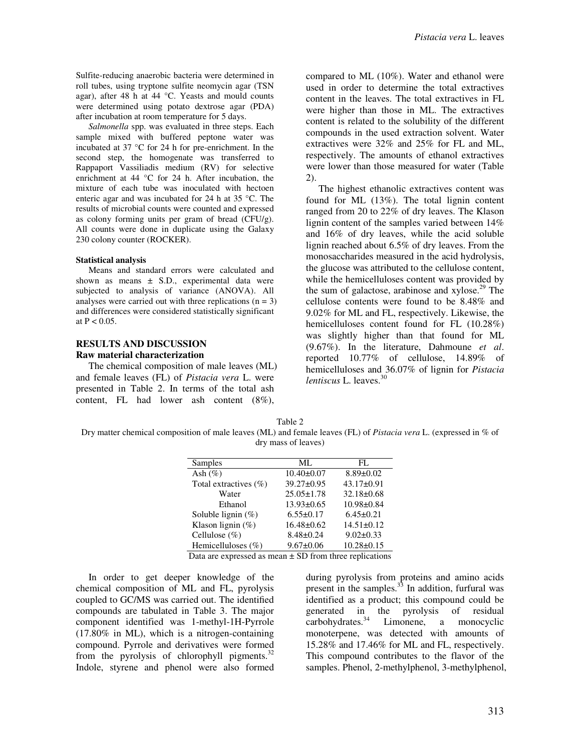Sulfite-reducing anaerobic bacteria were determined in roll tubes, using tryptone sulfite neomycin agar (TSN agar), after 48 h at 44 °C. Yeasts and mould counts were determined using potato dextrose agar (PDA) after incubation at room temperature for 5 days.

*Salmonella* spp. was evaluated in three steps. Each sample mixed with buffered peptone water was incubated at 37 °C for 24 h for pre-enrichment. In the second step, the homogenate was transferred to Rappaport Vassiliadis medium (RV) for selective enrichment at 44 °C for 24 h. After incubation, the mixture of each tube was inoculated with hectoen enteric agar and was incubated for 24 h at 35 °C. The results of microbial counts were counted and expressed as colony forming units per gram of bread (CFU/g). All counts were done in duplicate using the Galaxy 230 colony counter (ROCKER).

#### **Statistical analysis**

Means and standard errors were calculated and shown as means  $\pm$  S.D., experimental data were subjected to analysis of variance (ANOVA). All analyses were carried out with three replications  $(n = 3)$ and differences were considered statistically significant at  $P < 0.05$ .

## **RESULTS AND DISCUSSION Raw material characterization**

The chemical composition of male leaves (ML) and female leaves (FL) of *Pistacia vera* L. were presented in Table 2. In terms of the total ash content, FL had lower ash content (8%),

compared to ML (10%). Water and ethanol were used in order to determine the total extractives content in the leaves. The total extractives in FL were higher than those in ML. The extractives content is related to the solubility of the different compounds in the used extraction solvent. Water extractives were 32% and 25% for FL and ML, respectively. The amounts of ethanol extractives were lower than those measured for water (Table 2).

The highest ethanolic extractives content was found for ML (13%). The total lignin content ranged from 20 to 22% of dry leaves. The Klason lignin content of the samples varied between 14% and 16% of dry leaves, while the acid soluble lignin reached about 6.5% of dry leaves. From the monosaccharides measured in the acid hydrolysis, the glucose was attributed to the cellulose content, while the hemicelluloses content was provided by the sum of galactose, arabinose and xylose.<sup>29</sup> The cellulose contents were found to be 8.48% and 9.02% for ML and FL, respectively. Likewise, the hemicelluloses content found for FL (10.28%) was slightly higher than that found for ML (9.67%). In the literature, Dahmoune *et al*. reported 10.77% of cellulose, 14.89% of hemicelluloses and 36.07% of lignin for *Pistacia lentiscus* L. leaves.<sup>30</sup>

| Table 2                                                                                                              |
|----------------------------------------------------------------------------------------------------------------------|
| Dry matter chemical composition of male leaves (ML) and female leaves (FL) of Pistacia vera L. (expressed in $\%$ of |
| dry mass of leaves)                                                                                                  |

| Samples                                                     | ML               | FL.              |  |  |  |
|-------------------------------------------------------------|------------------|------------------|--|--|--|
| Ash $(\%)$                                                  | $10.40 \pm 0.07$ | $8.89 \pm 0.02$  |  |  |  |
| Total extractives $(\% )$                                   | $39.27 \pm 0.95$ | $43.17 \pm 0.91$ |  |  |  |
| Water                                                       | $25.05 \pm 1.78$ | $32.18 \pm 0.68$ |  |  |  |
| Ethanol                                                     | $13.93 \pm 0.65$ | $10.98 \pm 0.84$ |  |  |  |
| Soluble lignin $(\%)$                                       | $6.55 \pm 0.17$  | $6.45 \pm 0.21$  |  |  |  |
| Klason lignin $(\%)$                                        | $16.48 \pm 0.62$ | $14.51 \pm 0.12$ |  |  |  |
| Cellulose $(\%)$                                            | $8.48 \pm 0.24$  | $9.02 \pm 0.33$  |  |  |  |
| Hemicelluloses $(\% )$                                      | $9.67 \pm 0.06$  | $10.28 \pm 0.15$ |  |  |  |
| Data are expressed as mean $\pm$ SD from three replications |                  |                  |  |  |  |

In order to get deeper knowledge of the chemical composition of ML and FL, pyrolysis coupled to GC/MS was carried out. The identified compounds are tabulated in Table 3. The major component identified was 1-methyl-1H-Pyrrole (17.80% in ML), which is a nitrogen-containing compound. Pyrrole and derivatives were formed from the pyrolysis of chlorophyll pigments. $^{32}$ Indole, styrene and phenol were also formed

during pyrolysis from proteins and amino acids present in the samples.<sup>33</sup> In addition, furfural was identified as a product; this compound could be generated in the pyrolysis of residual  $carbo$ hydrates.<sup>34</sup> Limonene, a monocyclic monoterpene, was detected with amounts of 15.28% and 17.46% for ML and FL, respectively. This compound contributes to the flavor of the samples. Phenol, 2-methylphenol, 3-methylphenol,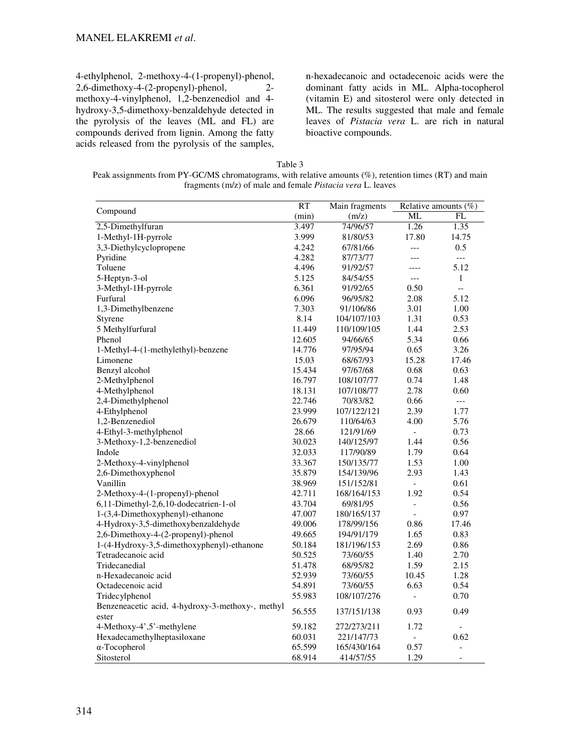4-ethylphenol, 2-methoxy-4-(1-propenyl)-phenol, 2,6-dimethoxy-4-(2-propenyl)-phenol, 2 methoxy-4-vinylphenol, 1,2-benzenediol and 4 hydroxy-3,5-dimethoxy-benzaldehyde detected in the pyrolysis of the leaves (ML and FL) are compounds derived from lignin. Among the fatty acids released from the pyrolysis of the samples, n-hexadecanoic and octadecenoic acids were the dominant fatty acids in ML. Alpha-tocopherol (vitamin E) and sitosterol were only detected in ML. The results suggested that male and female leaves of *Pistacia vera* L. are rich in natural bioactive compounds.

| M.<br>۰,<br>. .<br>۰,<br>٠ |  |
|----------------------------|--|
|----------------------------|--|

| Peak assignments from PY-GC/MS chromatograms, with relative amounts (%), retention times (RT) and main |                                                                   |  |  |  |
|--------------------------------------------------------------------------------------------------------|-------------------------------------------------------------------|--|--|--|
|                                                                                                        | fragments (m/z) of male and female <i>Pistacia vera</i> L. leaves |  |  |  |

|                                                  | RT     | Main fragments |                | Relative amounts $(\%)$ |
|--------------------------------------------------|--------|----------------|----------------|-------------------------|
| Compound                                         | (min)  | (m/z)          | ML             | FL                      |
| 2,5-Dimethylfuran                                | 3.497  | 74/96/57       | 1.26           | 1.35                    |
| 1-Methyl-1H-pyrrole                              | 3.999  | 81/80/53       | 17.80          | 14.75                   |
| 3,3-Diethylcyclopropene                          | 4.242  | 67/81/66       | $---$          | 0.5                     |
| Pyridine                                         | 4.282  | 87/73/77       | $---$          | $---$                   |
| Toluene                                          | 4.496  | 91/92/57       | ----           | 5.12                    |
| 5-Heptyn-3-ol                                    | 5.125  | 84/54/55       | $\overline{a}$ | $\mathbf{1}$            |
| 3-Methyl-1H-pyrrole                              | 6.361  | 91/92/65       | 0.50           | $\overline{a}$          |
| Furfural                                         | 6.096  | 96/95/82       | 2.08           | 5.12                    |
| 1,3-Dimethylbenzene                              | 7.303  | 91/106/86      | 3.01           | 1.00                    |
| Styrene                                          | 8.14   | 104/107/103    | 1.31           | 0.53                    |
| 5 Methylfurfural                                 | 11.449 | 110/109/105    | 1.44           | 2.53                    |
| Phenol                                           | 12.605 | 94/66/65       | 5.34           | 0.66                    |
| 1-Methyl-4-(1-methylethyl)-benzene               | 14.776 | 97/95/94       | 0.65           | 3.26                    |
| Limonene                                         | 15.03  | 68/67/93       | 15.28          | 17.46                   |
| Benzyl alcohol                                   | 15.434 | 97/67/68       | 0.68           | 0.63                    |
| 2-Methylphenol                                   | 16.797 | 108/107/77     | 0.74           | 1.48                    |
| 4-Methylphenol                                   | 18.131 | 107/108/77     | 2.78           | 0.60                    |
| 2,4-Dimethylphenol                               | 22.746 | 70/83/82       | 0.66           | $\ldots$ .              |
| 4-Ethylphenol                                    | 23.999 | 107/122/121    | 2.39           | 1.77                    |
| 1,2-Benzenediol                                  | 26.679 | 110/64/63      | 4.00           | 5.76                    |
| 4-Ethyl-3-methylphenol                           | 28.66  | 121/91/69      | $\overline{a}$ | 0.73                    |
| 3-Methoxy-1,2-benzenediol                        | 30.023 | 140/125/97     | 1.44           | 0.56                    |
| Indole                                           | 32.033 | 117/90/89      | 1.79           | 0.64                    |
| 2-Methoxy-4-vinylphenol                          | 33.367 | 150/135/77     | 1.53           | 1.00                    |
| 2,6-Dimethoxyphenol                              | 35.879 | 154/139/96     | 2.93           | 1.43                    |
| Vanillin                                         | 38.969 | 151/152/81     |                | 0.61                    |
| 2-Methoxy-4-(1-propenyl)-phenol                  | 42.711 | 168/164/153    | 1.92           | 0.54                    |
| 6,11-Dimethyl-2,6,10-dodecatrien-1-ol            | 43.704 | 69/81/95       | $\overline{a}$ | 0.56                    |
| 1-(3,4-Dimethoxyphenyl)-ethanone                 | 47.007 | 180/165/137    | $\overline{a}$ | 0.97                    |
| 4-Hydroxy-3,5-dimethoxybenzaldehyde              | 49.006 | 178/99/156     | 0.86           | 17.46                   |
| 2,6-Dimethoxy-4-(2-propenyl)-phenol              | 49.665 | 194/91/179     | 1.65           | 0.83                    |
| 1-(4-Hydroxy-3,5-dimethoxyphenyl)-ethanone       | 50.184 | 181/196/153    | 2.69           | 0.86                    |
| Tetradecanoic acid                               | 50.525 | 73/60/55       | 1.40           | 2.70                    |
| Tridecanedial                                    | 51.478 | 68/95/82       | 1.59           | 2.15                    |
| n-Hexadecanoic acid                              | 52.939 | 73/60/55       | 10.45          | 1.28                    |
| Octadecenoic acid                                | 54.891 | 73/60/55       | 6.63           | 0.54                    |
| Tridecylphenol                                   | 55.983 | 108/107/276    | $\overline{a}$ | 0.70                    |
| Benzeneacetic acid, 4-hydroxy-3-methoxy-, methyl | 56.555 |                |                |                         |
| ester                                            |        | 137/151/138    | 0.93           | 0.49                    |
| 4-Methoxy-4',5'-methylene                        | 59.182 | 272/273/211    | 1.72           |                         |
| Hexadecamethylheptasiloxane                      | 60.031 | 221/147/73     | $\overline{a}$ | 0.62                    |
| $\alpha$ -Tocopherol                             | 65.599 | 165/430/164    | 0.57           |                         |
| Sitosterol                                       | 68.914 | 414/57/55      | 1.29           |                         |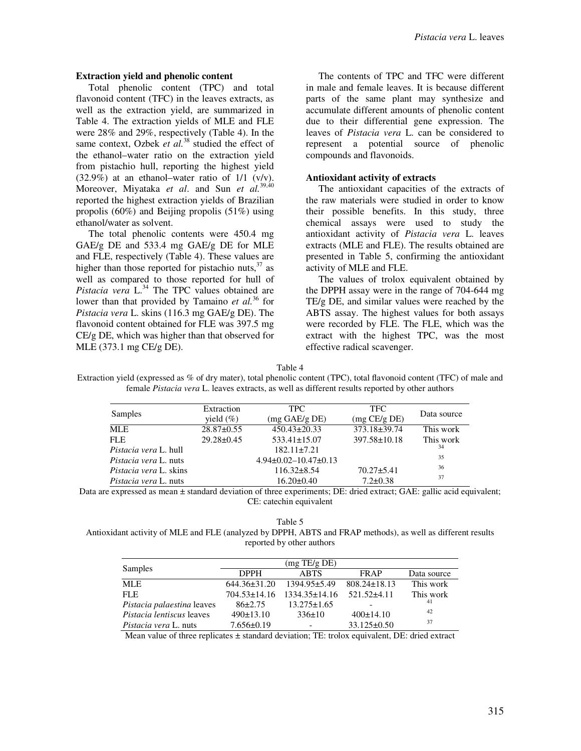#### **Extraction yield and phenolic content**

Total phenolic content (TPC) and total flavonoid content (TFC) in the leaves extracts, as well as the extraction yield, are summarized in Table 4. The extraction yields of MLE and FLE were 28% and 29%, respectively (Table 4). In the same context, Ozbek *et al.*<sup>38</sup> studied the effect of the ethanol–water ratio on the extraction yield from pistachio hull, reporting the highest yield  $(32.9\%)$  at an ethanol–water ratio of  $1/1$  (v/v). Moreover, Miyataka *et al*. and Sun *et al.*39,40 reported the highest extraction yields of Brazilian propolis (60%) and Beijing propolis (51%) using ethanol/water as solvent.

The total phenolic contents were 450.4 mg GAE/g DE and 533.4 mg GAE/g DE for MLE and FLE, respectively (Table 4). These values are higher than those reported for pistachio nuts,  $37$  as well as compared to those reported for hull of *Pistacia vera* L.<sup>34</sup> The TPC values obtained are lower than that provided by Tamaino *et al.*<sup>36</sup> for *Pistacia vera* L. skins (116.3 mg GAE/g DE). The flavonoid content obtained for FLE was 397.5 mg CE/g DE, which was higher than that observed for MLE (373.1 mg CE/g DE).

The contents of TPC and TFC were different in male and female leaves. It is because different parts of the same plant may synthesize and accumulate different amounts of phenolic content due to their differential gene expression. The leaves of *Pistacia vera* L. can be considered to represent a potential source of phenolic compounds and flavonoids.

## **Antioxidant activity of extracts**

The antioxidant capacities of the extracts of the raw materials were studied in order to know their possible benefits. In this study, three chemical assays were used to study the antioxidant activity of *Pistacia vera* L. leaves extracts (MLE and FLE). The results obtained are presented in Table 5, confirming the antioxidant activity of MLE and FLE.

The values of trolox equivalent obtained by the DPPH assay were in the range of 704-644 mg TE/g DE, and similar values were reached by the ABTS assay. The highest values for both assays were recorded by FLE. The FLE, which was the extract with the highest TPC, was the most effective radical scavenger.

Table 4

Extraction yield (expressed as % of dry mater), total phenolic content (TPC), total flavonoid content (TFC) of male and female *Pistacia vera* L. leaves extracts, as well as different results reported by other authors

| Samples                                                                                                         | Extraction       | TPC.                                                                                                                                                                                                                                                          | <b>TFC</b>                                                                                                                                                                                                                                                                                                                         | Data source            |
|-----------------------------------------------------------------------------------------------------------------|------------------|---------------------------------------------------------------------------------------------------------------------------------------------------------------------------------------------------------------------------------------------------------------|------------------------------------------------------------------------------------------------------------------------------------------------------------------------------------------------------------------------------------------------------------------------------------------------------------------------------------|------------------------|
|                                                                                                                 | yield $(\%)$     | (mg GAE/g DE)                                                                                                                                                                                                                                                 | (mg CE/g DE)                                                                                                                                                                                                                                                                                                                       |                        |
| <b>MLE</b>                                                                                                      | $28.87 \pm 0.55$ | $450.43 \pm 20.33$                                                                                                                                                                                                                                            | 373.18±39.74                                                                                                                                                                                                                                                                                                                       | This work              |
| <b>FLE</b>                                                                                                      | $29.28 \pm 0.45$ | $533.41 \pm 15.07$                                                                                                                                                                                                                                            | $397.58 \pm 10.18$                                                                                                                                                                                                                                                                                                                 | This work              |
| <i>Pistacia vera</i> L. hull                                                                                    |                  | $182.11 \pm 7.21$                                                                                                                                                                                                                                             |                                                                                                                                                                                                                                                                                                                                    | 34                     |
| <i>Pistacia vera</i> L. nuts                                                                                    |                  | $4.94\pm0.02-10.47\pm0.13$                                                                                                                                                                                                                                    |                                                                                                                                                                                                                                                                                                                                    | 35                     |
| <i>Pistacia vera L. skins</i>                                                                                   |                  | $116.32 \pm 8.54$                                                                                                                                                                                                                                             | $70.27 \pm 5.41$                                                                                                                                                                                                                                                                                                                   | 36                     |
| <i>Pistacia vera</i> L. nuts                                                                                    |                  | $16.20 \pm 0.40$                                                                                                                                                                                                                                              | $7.2 \pm 0.38$                                                                                                                                                                                                                                                                                                                     | 37                     |
| the contract of the contract of the contract of the contract of the contract of the contract of the contract of | .                | $\mathcal{C}$ $\cdot$ 1<br>$\bullet$ and the set of the set of the set of the set of the set of the set of the set of the set of the set of the set of the set of the set of the set of the set of the set of the set of the set of the set of the set of the | $\mathbf{D} \mathbf{E}$ $\mathbf{I}$ $\mathbf{I}$ $\mathbf{I}$ $\mathbf{I}$ $\mathbf{I}$ $\mathbf{I}$ $\mathbf{I}$ $\mathbf{I}$ $\mathbf{I}$ $\mathbf{I}$ $\mathbf{I}$ $\mathbf{I}$ $\mathbf{I}$ $\mathbf{I}$ $\mathbf{I}$ $\mathbf{I}$ $\mathbf{I}$ $\mathbf{I}$ $\mathbf{I}$ $\mathbf{I}$ $\mathbf{I}$ $\mathbf{I}$ $\mathbf{I}$ | 11.<br>$\cdot$ $\cdot$ |

Data are expressed as mean  $\pm$  standard deviation of three experiments; DE: dried extract; GAE: gallic acid equivalent; CE: catechin equivalent

Table 5

Antioxidant activity of MLE and FLE (analyzed by DPPH, ABTS and FRAP methods), as well as different results reported by other authors

|                    | (mg TE/g DE)        |                    |             |
|--------------------|---------------------|--------------------|-------------|
| <b>DPPH</b>        | <b>ABTS</b>         | <b>FRAP</b>        | Data source |
| $644.36 \pm 31.20$ | $1394.95 \pm 5.49$  | $808.24 \pm 18.13$ | This work   |
| $704.53 \pm 14.16$ | $1334.35 \pm 14.16$ | $521.52 \pm 4.11$  | This work   |
| $86\pm2.75$        | $13.275 \pm 1.65$   |                    | 41          |
| 490±13.10          | $336\pm10$          | $400 \pm 14.10$    | 42          |
| $7.656 \pm 0.19$   |                     | $33.125 \pm 0.50$  | 37          |
|                    |                     |                    |             |

Mean value of three replicates ± standard deviation; TE: trolox equivalent, DE: dried extract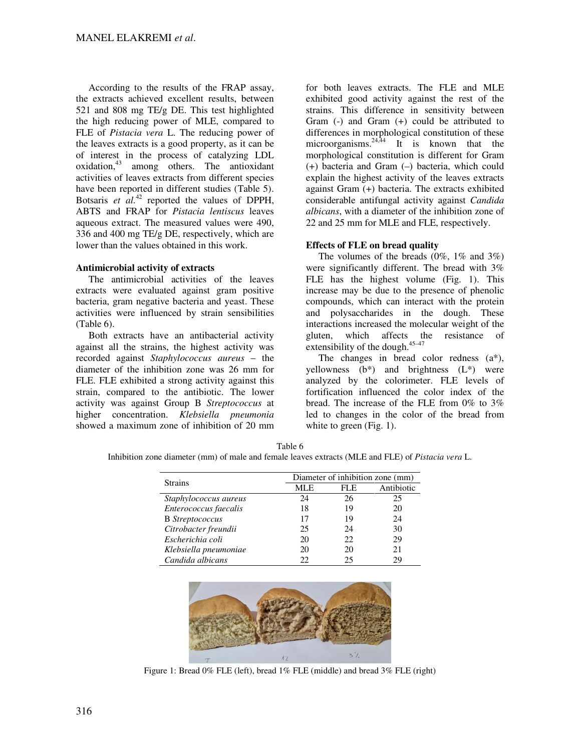According to the results of the FRAP assay, the extracts achieved excellent results, between 521 and 808 mg TE/g DE. This test highlighted the high reducing power of MLE, compared to FLE of *Pistacia vera* L. The reducing power of the leaves extracts is a good property, as it can be of interest in the process of catalyzing LDL oxidation,<sup>43</sup> among others. The antioxidant activities of leaves extracts from different species have been reported in different studies (Table 5). Botsaris *et al.*<sup>42</sup> reported the values of DPPH, ABTS and FRAP for *Pistacia lentiscus* leaves aqueous extract. The measured values were 490, 336 and 400 mg TE/g DE, respectively, which are lower than the values obtained in this work.

## **Antimicrobial activity of extracts**

The antimicrobial activities of the leaves extracts were evaluated against gram positive bacteria, gram negative bacteria and yeast. These activities were influenced by strain sensibilities (Table 6).

Both extracts have an antibacterial activity against all the strains, the highest activity was recorded against *Staphylococcus aureus* – the diameter of the inhibition zone was 26 mm for FLE. FLE exhibited a strong activity against this strain, compared to the antibiotic. The lower activity was against Group B *Streptococcus* at higher concentration. *Klebsiella pneumonia*  showed a maximum zone of inhibition of 20 mm for both leaves extracts. The FLE and MLE exhibited good activity against the rest of the strains. This difference in sensitivity between Gram (-) and Gram (+) could be attributed to differences in morphological constitution of these microorganisms.<sup>24,44</sup> It is known that the morphological constitution is different for Gram (+) bacteria and Gram (–) bacteria, which could explain the highest activity of the leaves extracts against Gram (+) bacteria. The extracts exhibited considerable antifungal activity against *Candida albicans*, with a diameter of the inhibition zone of 22 and 25 mm for MLE and FLE, respectively.

# **Effects of FLE on bread quality**

The volumes of the breads  $(0\%, 1\%$  and  $3\%)$ were significantly different. The bread with 3% FLE has the highest volume (Fig. 1). This increase may be due to the presence of phenolic compounds, which can interact with the protein and polysaccharides in the dough. These interactions increased the molecular weight of the gluten, which affects the resistance of extensibility of the dough.<sup>45-47</sup>

The changes in bread color redness (a\*), yellowness  $(b^*)$  and brightness  $(L^*)$  were analyzed by the colorimeter. FLE levels of fortification influenced the color index of the bread. The increase of the FLE from 0% to 3% led to changes in the color of the bread from white to green (Fig. 1).

| Table 6                                                                                                   |
|-----------------------------------------------------------------------------------------------------------|
| Inhibition zone diameter (mm) of male and female leaves extracts (MLE and FLE) of <i>Pistacia vera</i> L. |

| <b>Strains</b>         | Diameter of inhibition zone (mm) |      |            |  |
|------------------------|----------------------------------|------|------------|--|
|                        | <b>MLE</b>                       | FLE. | Antibiotic |  |
| Staphylococcus aureus  | 24                               | 26   | 25         |  |
| Enterococcus faecalis  | 18                               | 19   | 20         |  |
| <b>B</b> Streptococcus | 17                               | 19   | 24         |  |
| Citrobacter freundii   | 25                               | 24   | 30         |  |
| Escherichia coli       | 20                               | 22.  | 29         |  |
| Klebsiella pneumoniae  | 20                               | 20   | 21         |  |
| Candida albicans       |                                  | 25   | 29         |  |



Figure 1: Bread 0% FLE (left), bread 1% FLE (middle) and bread 3% FLE (right)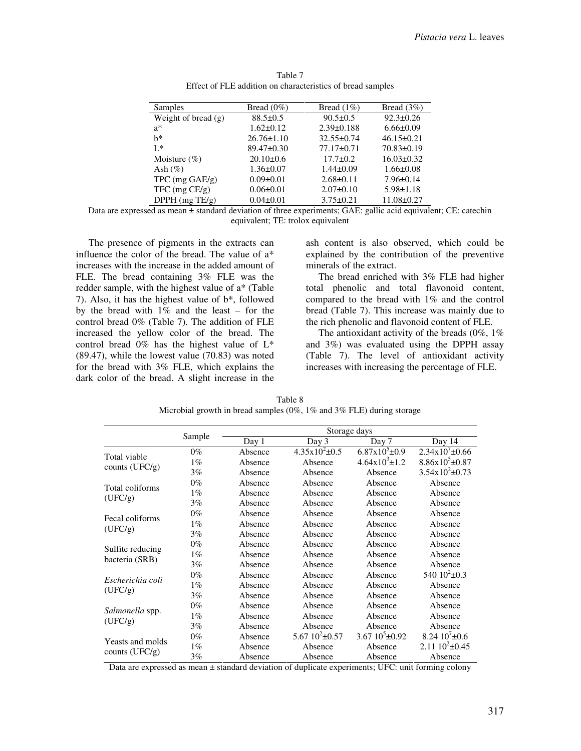| Samples                 | Bread $(0\%)$    | Bread $(1\%)$    | Bread $(3\%)$    |
|-------------------------|------------------|------------------|------------------|
| Weight of bread $(g)$   | $88.5 \pm 0.5$   | $90.5 \pm 0.5$   | $92.3 \pm 0.26$  |
| $a^*$                   | $1.62 \pm 0.12$  | $2.39\pm0.188$   | $6.66 \pm 0.09$  |
| $h^*$                   | $26.76 \pm 1.10$ | $32.55 \pm 0.74$ | $46.15 \pm 0.21$ |
| $L^*$                   | $89.47 \pm 0.30$ | $77.17 \pm 0.71$ | $70.83 \pm 0.19$ |
| Moisture $(\% )$        | $20.10 \pm 0.6$  | $17.7 \pm 0.2$   | $16.03 \pm 0.32$ |
| Ash $(\%)$              | $1.36 \pm 0.07$  | $1.44\pm0.09$    | $1.66 \pm 0.08$  |
| $TPC$ (mg $GAE/g$ )     | $0.09 \pm 0.01$  | $2.68 \pm 0.11$  | $7.96 \pm 0.14$  |
| $TFC \text{ (mg CE/g)}$ | $0.06 \pm 0.01$  | $2.07 \pm 0.10$  | $5.98 \pm 1.18$  |
| DPPH (mg TE/g)          | $0.04 \pm 0.01$  | $3.75 \pm 0.21$  | $11.08 \pm 0.27$ |

Table 7 Effect of FLE addition on characteristics of bread samples

Data are expressed as mean ± standard deviation of three experiments; GAE: gallic acid equivalent; CE: catechin equivalent; TE: trolox equivalent

The presence of pigments in the extracts can influence the color of the bread. The value of a\* increases with the increase in the added amount of FLE. The bread containing 3% FLE was the redder sample, with the highest value of a\* (Table 7). Also, it has the highest value of b\*, followed by the bread with  $1\%$  and the least – for the control bread 0% (Table 7). The addition of FLE increased the yellow color of the bread. The control bread 0% has the highest value of L\* (89.47), while the lowest value (70.83) was noted for the bread with 3% FLE, which explains the dark color of the bread. A slight increase in the

ash content is also observed, which could be explained by the contribution of the preventive minerals of the extract.

The bread enriched with 3% FLE had higher total phenolic and total flavonoid content, compared to the bread with 1% and the control bread (Table 7). This increase was mainly due to the rich phenolic and flavonoid content of FLE.

The antioxidant activity of the breads (0%, 1% and 3%) was evaluated using the DPPH assay (Table 7). The level of antioxidant activity increases with increasing the percentage of FLE.

|                  |        | Storage days |                       |                            |                             |  |
|------------------|--------|--------------|-----------------------|----------------------------|-----------------------------|--|
|                  | Sample | Day 1        | Day 3                 | Day 7                      | Day 14                      |  |
| Total viable     | $0\%$  | Absence      | $4.35x10^{2} \pm 0.5$ | $6.87x10^{5}$ ±0.9         | $2.34x10'\pm0.66$           |  |
| counts $(UFC/g)$ | $1\%$  | Absence      | Absence               | $4.64 \times 10^3 \pm 1.2$ | $8.86x10^{5} \pm 0.87$      |  |
|                  | 3%     | Absence      | Absence               | Absence                    | $3.54 \times 10^2 \pm 0.73$ |  |
| Total coliforms  | $0\%$  | Absence      | Absence               | Absence                    | Absence                     |  |
| (UFC/g)          | $1\%$  | Absence      | Absence               | Absence                    | Absence                     |  |
|                  | 3%     | Absence      | Absence               | Absence                    | Absence                     |  |
| Fecal coliforms  | $0\%$  | Absence      | Absence               | Absence                    | Absence                     |  |
| (UFC/g)          | $1\%$  | Absence      | Absence               | Absence                    | Absence                     |  |
|                  | 3%     | Absence      | Absence               | Absence                    | Absence                     |  |
| Sulfite reducing | $0\%$  | Absence      | Absence               | Absence                    | Absence                     |  |
|                  | $1\%$  | Absence      | Absence               | Absence                    | Absence                     |  |
| bacteria (SRB)   | 3%     | Absence      | Absence               | Absence                    | Absence                     |  |
| Escherichia coli | $0\%$  | Absence      | Absence               | Absence                    | 540 $10^2 \pm 0.3$          |  |
| (UFC/g)          | $1\%$  | Absence      | Absence               | Absence                    | Absence                     |  |
|                  | 3%     | Absence      | Absence               | Absence                    | Absence                     |  |
| Salmonella spp.  | $0\%$  | Absence      | Absence               | Absence                    | Absence                     |  |
| (UFC/g)          | $1\%$  | Absence      | Absence               | Absence                    | Absence                     |  |
|                  | 3%     | Absence      | Absence               | Absence                    | Absence                     |  |
| Yeasts and molds | $0\%$  | Absence      | 5.67 $10^2 \pm 0.57$  | 3.67 $10^5 \pm 0.92$       | 8.24 $10^7 \pm 0.6$         |  |
|                  | $1\%$  | Absence      | Absence               | Absence                    | 2.11 $10^2 \pm 0.45$        |  |
| counts $(UFC/g)$ | 3%     | Absence      | Absence               | Absence                    | Absence                     |  |

Table 8 Microbial growth in bread samples (0%, 1% and 3% FLE) during storage

Data are expressed as mean ± standard deviation of duplicate experiments; UFC: unit forming colony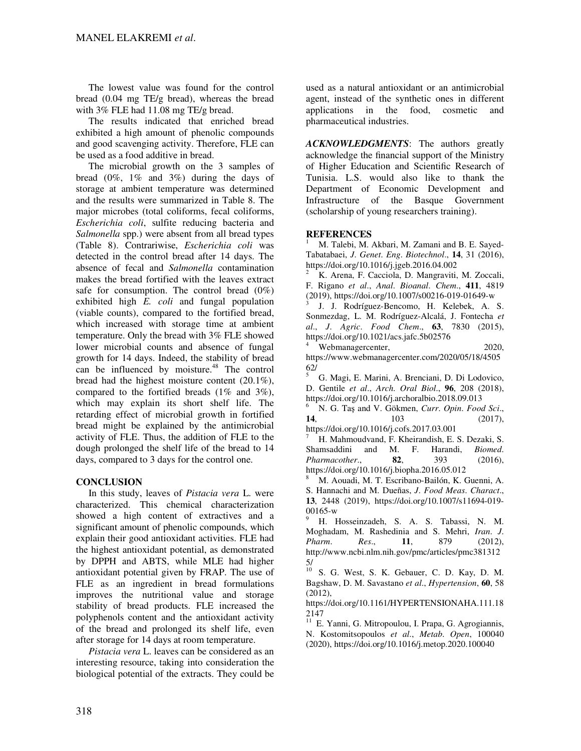The lowest value was found for the control bread (0.04 mg TE/g bread), whereas the bread with 3% FLE had 11.08 mg TE/g bread.

The results indicated that enriched bread exhibited a high amount of phenolic compounds and good scavenging activity. Therefore, FLE can be used as a food additive in bread.

The microbial growth on the 3 samples of bread  $(0\%, 1\%$  and  $3\%)$  during the days of storage at ambient temperature was determined and the results were summarized in Table 8. The major microbes (total coliforms, fecal coliforms, *Escherichia coli*, sulfite reducing bacteria and *Salmonella* spp.) were absent from all bread types (Table 8). Contrariwise, *Escherichia coli* was detected in the control bread after 14 days. The absence of fecal and *Salmonella* contamination makes the bread fortified with the leaves extract safe for consumption. The control bread  $(0\%)$ exhibited high *E. coli* and fungal population (viable counts), compared to the fortified bread, which increased with storage time at ambient temperature. Only the bread with 3% FLE showed lower microbial counts and absence of fungal growth for 14 days. Indeed, the stability of bread can be influenced by moisture. $48$  The control bread had the highest moisture content (20.1%), compared to the fortified breads (1% and 3%), which may explain its short shelf life. The retarding effect of microbial growth in fortified bread might be explained by the antimicrobial activity of FLE. Thus, the addition of FLE to the dough prolonged the shelf life of the bread to 14 days, compared to 3 days for the control one.

# **CONCLUSION**

In this study, leaves of *Pistacia vera* L. were characterized. This chemical characterization showed a high content of extractives and a significant amount of phenolic compounds, which explain their good antioxidant activities. FLE had the highest antioxidant potential, as demonstrated by DPPH and ABTS, while MLE had higher antioxidant potential given by FRAP. The use of FLE as an ingredient in bread formulations improves the nutritional value and storage stability of bread products. FLE increased the polyphenols content and the antioxidant activity of the bread and prolonged its shelf life, even after storage for 14 days at room temperature.

*Pistacia vera* L. leaves can be considered as an interesting resource, taking into consideration the biological potential of the extracts. They could be

used as a natural antioxidant or an antimicrobial agent, instead of the synthetic ones in different applications in the food, cosmetic and pharmaceutical industries.

*ACKNOWLEDGMENTS*: The authors greatly acknowledge the financial support of the Ministry of Higher Education and Scientific Research of Tunisia. L.S. would also like to thank the Department of Economic Development and Infrastructure of the Basque Government (scholarship of young researchers training).

## **REFERENCES**

1 M. Talebi, M. Akbari, M. Zamani and B. E. Sayed-Tabatabaei, *J*. *Genet*. *Eng*. *Biotechnol*., **14**, 31 (2016), https://doi.org/10.1016/j.jgeb.2016.04.002

2 K. Arena, F. Cacciola, D. Mangraviti, M. Zoccali, F. Rigano *et al*., *Anal*. *Bioanal*. *Chem*., **411**, 4819 (2019), https://doi.org/10.1007/s00216-019-01649-w

3 J. J. Rodríguez-Bencomo, H. Kelebek, A. S. Sonmezdag, L. M. Rodríguez-Alcalá, J. Fontecha *et al*., *J*. *Agric*. *Food Chem*., **63**, 7830 (2015), https://doi.org/10.1021/acs.jafc.5b02576

4 Webmanagercenter, 2020, https://www.webmanagercenter.com/2020/05/18/4505 62/

5 G. Magi, E. Marini, A. Brenciani, D. Di Lodovico, D. Gentile *et al*., *Arch*. *Oral Biol*., **96**, 208 (2018), https://doi.org/10.1016/j.archoralbio.2018.09.013

6 N. G. Taş and V. Gökmen, *Curr*. *Opin*. *Food Sci*., **14**, 103 (2017), https://doi.org/10.1016/j.cofs.2017.03.001

7 H. Mahmoudvand, F. Kheirandish, E. S. Dezaki, S. Shamsaddini and M. F. Harandi, *Biomed*. *Pharmacother*., **82**, 393 (2016), https://doi.org/10.1016/j.biopha.2016.05.012

8 M. Aouadi, M. T. Escribano-Bailón, K. Guenni, A. S. Hannachi and M. Dueñas, *J*. *Food Meas*. *Charact*., **13**, 2448 (2019), https://doi.org/10.1007/s11694-019- 00165-w

9 H. Hosseinzadeh, S. A. S. Tabassi, N. M. Moghadam, M. Rashedinia and S. Mehri, *Iran*. *J*. *Pharm*. *Res*., **11**, 879 (2012), http://www.ncbi.nlm.nih.gov/pmc/articles/pmc381312 5/

<sup>10</sup> S. G. West, S. K. Gebauer, C. D. Kay, D. M. Bagshaw, D. M. Savastano *et al*., *Hypertension*, **60**, 58  $(2012)$ 

https://doi.org/10.1161/HYPERTENSIONAHA.111.18 2147

<sup>11</sup> E. Yanni, G. Mitropoulou, I. Prapa, G. Agrogiannis, N. Kostomitsopoulos *et al*., *Metab*. *Open*, 100040 (2020), https://doi.org/10.1016/j.metop.2020.100040